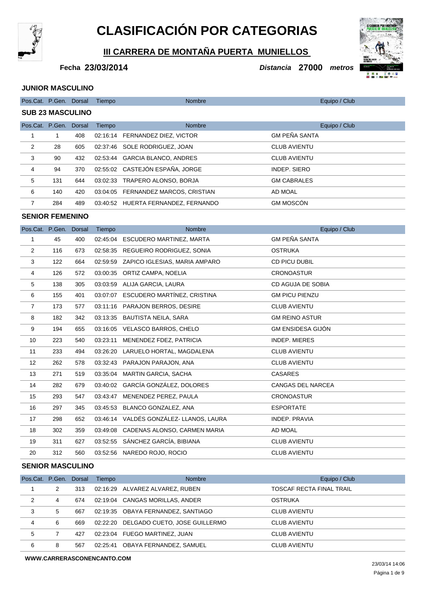

# **CLASIFICACIÓN POR CATEGORIAS**

**III CARRERA DE MONTAÑA PUERTA MUNIELLOS** 

**23/03/2014 Distancia 27000 Fecha metros**

#### **JUNIOR MASCULINO**

| Pos.Cat. P.Gen. Dorsal  |     |     | Tiempo   | <b>Nombre</b>                       | Equipo / Club        |  |  |
|-------------------------|-----|-----|----------|-------------------------------------|----------------------|--|--|
| <b>SUB 23 MASCULINO</b> |     |     |          |                                     |                      |  |  |
| Pos.Cat. P.Gen. Dorsal  |     |     | Tiempo   | <b>Nombre</b>                       | Equipo / Club        |  |  |
|                         | 1   | 408 |          | 02:16:14 FERNANDEZ DIEZ, VICTOR     | <b>GM PEÑA SANTA</b> |  |  |
| 2                       | 28  | 605 |          | 02:37:46 SOLE RODRIGUEZ, JOAN       | <b>CLUB AVIENTU</b>  |  |  |
| 3                       | 90  | 432 | 02.53.44 | <b>GARCIA BLANCO, ANDRES</b>        | <b>CLUB AVIENTU</b>  |  |  |
| 4                       | 94  | 370 |          | 02:55:02 CASTEJÓN ESPAÑA, JORGE     | INDEP. SIERO         |  |  |
| 5                       | 131 | 644 | 03:02:33 | TRAPERO ALONSO, BORJA               | <b>GM CABRALES</b>   |  |  |
| 6                       | 140 | 420 |          | 03:04:05 FERNANDEZ MARCOS, CRISTIAN | AD MOAL              |  |  |
| $\overline{7}$          | 284 | 489 |          | 03:40:52 HUERTA FERNANDEZ, FERNANDO | <b>GM MOSCÓN</b>     |  |  |
| <b>SENIOR FEMENINO</b>  |     |     |          |                                     |                      |  |  |
| Pos.Cat. P.Gen. Dorsal  |     |     | Tiempo   | <b>Nombre</b>                       | Equipo / Club        |  |  |
|                         | 45  | 400 |          | 02:45:04 ESCUDERO MARTINEZ, MARTA   | <b>GM PEÑA SANTA</b> |  |  |

| 2              | 116 | 673 |          | 02:58:35 REGUEIRO RODRIGUEZ, SONIA      | <b>OSTRUKA</b>           |
|----------------|-----|-----|----------|-----------------------------------------|--------------------------|
| 3              | 122 | 664 |          | 02:59:59 ZAPICO IGLESIAS, MARIA AMPARO  | CD PICU DUBIL            |
| 4              | 126 | 572 |          | 03:00:35 ORTIZ CAMPA, NOELIA            | <b>CRONOASTUR</b>        |
| 5              | 138 | 305 |          | 03:03:59 ALIJA GARCIA, LAURA            | CD AGUJA DE SOBIA        |
| 6              | 155 | 401 |          | 03:07:07 ESCUDERO MARTINEZ, CRISTINA    | <b>GM PICU PIENZU</b>    |
| $\overline{7}$ | 173 | 577 |          | 03:11:16 PARAJON BERROS, DESIRE         | <b>CLUB AVIENTU</b>      |
| 8              | 182 | 342 | 03:13:35 | BAUTISTA NEILA, SARA                    | <b>GM REINO ASTUR</b>    |
| 9              | 194 | 655 | 03:16:05 | VELASCO BARROS, CHELO                   | <b>GM ENSIDESA GIJON</b> |
| 10             | 223 | 540 | 03:23:11 | MENENDEZ FDEZ, PATRICIA                 | <b>INDEP. MIERES</b>     |
| 11             | 233 | 494 |          | 03:26:20 LARUELO HORTAL, MAGDALENA      | <b>CLUB AVIENTU</b>      |
| 12             | 262 | 578 |          | 03:32:43 PARAJON PARAJON, ANA           | <b>CLUB AVIENTU</b>      |
| 13             | 271 | 519 |          | 03:35:04 MARTIN GARCIA, SACHA           | <b>CASARES</b>           |
| 14             | 282 | 679 |          | 03:40:02 GARCÍA GONZÁLEZ, DOLORES       | <b>CANGAS DEL NARCEA</b> |
| 15             | 293 | 547 | 03:43:47 | MENENDEZ PEREZ, PAULA                   | <b>CRONOASTUR</b>        |
| 16             | 297 | 345 |          | 03:45:53 BLANCO GONZALEZ, ANA           | <b>ESPORTATE</b>         |
| 17             | 298 | 652 |          | 03:46:14 VALDÉS GONZÁLEZ- LLANOS, LAURA | <b>INDEP, PRAVIA</b>     |
| 18             | 302 | 359 |          | 03:49:08 CADENAS ALONSO, CARMEN MARIA   | AD MOAL                  |
| 19             | 311 | 627 |          | 03:52:55 SÁNCHEZ GARCÍA, BIBIANA        | <b>CLUB AVIENTU</b>      |
| 20             | 312 | 560 |          | 03:52:56 NAREDO ROJO, ROCIO             | <b>CLUB AVIENTU</b>      |

### **SENIOR MASCULINO**

| Pos.Cat. P.Gen. Dorsal |   |     | Tiempo   | <b>Nombre</b>                          | Equipo / Club            |
|------------------------|---|-----|----------|----------------------------------------|--------------------------|
|                        | 2 | 313 |          | 02:16:29 ALVAREZ ALVAREZ, RUBEN        | TOSCAF RECTA FINAL TRAIL |
| 2                      | 4 | 674 |          | 02:19:04 CANGAS MORILLAS, ANDER        | OSTRUKA                  |
| 3                      | 5 | 667 |          | 02:19:35 OBAYA FERNANDEZ, SANTIAGO     | <b>CLUB AVIENTU</b>      |
| 4                      | 6 | 669 |          | 02:22:20 DELGADO CUETO, JOSE GUILLERMO | <b>CLUB AVIENTU</b>      |
| 5                      |   | 427 |          | 02:23:04 FUEGO MARTINEZ, JUAN          | <b>CLUB AVIENTU</b>      |
| 6                      | 8 | 567 | 02:25:41 | OBAYA FERNANDEZ, SAMUEL                | <b>CLUB AVIENTU</b>      |

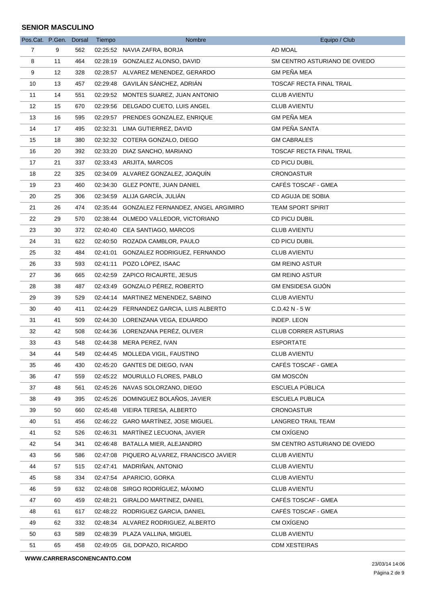| AD MOAL<br>$\overline{7}$<br>9<br>562<br>02:25:52 NAVIA ZAFRA, BORJA<br>8<br>11<br>02:28:19 GONZALEZ ALONSO, DAVID<br>SM CENTRO ASTURIANO DE OVIEDO<br>464<br><b>GM PEÑA MEA</b><br>9<br>12<br>328<br>02:28:57 ALVAREZ MENENDEZ, GERARDO<br>02:29:48 GAVILÁN SÁNCHEZ, ADRIÁN<br>TOSCAF RECTA FINAL TRAIL<br>10<br>13<br>457<br>02:29:52 MONTES SUAREZ, JUAN ANTONIO<br>11<br>14<br>551<br><b>CLUB AVIENTU</b><br>$12 \overline{ }$<br>15<br>02:29:56 DELGADO CUETO, LUIS ANGEL<br><b>CLUB AVIENTU</b><br>670<br><b>GM PEÑA MEA</b><br>13<br>16<br>595<br>02:29:57 PRENDES GONZALEZ, ENRIQUE<br><b>GM PEÑA SANTA</b><br>14<br>17<br>495<br>02:32:31<br>LIMA GUTIERREZ, DAVID<br>02:32:32 COTERA GONZALO, DIEGO<br><b>GM CABRALES</b><br>15<br>18<br>380<br>392<br>02:33:20 DIAZ SANCHO, MARIANO<br><b>TOSCAF RECTA FINAL TRAIL</b><br>16<br>20<br>17<br>21<br>337<br>02:33:43 ARIJITA, MARCOS<br>CD PICU DUBIL<br>02:34:09 ALVAREZ GONZALEZ, JOAQUÍN<br>18<br>22<br>325<br><b>CRONOASTUR</b><br>CAFÉS TOSCAF - GMEA<br>19<br>23<br>02:34:30 GLEZ PONTE, JUAN DANIEL<br>460<br>02:34:59 ALIJA GARCÍA, JULIÁN<br>CD AGUJA DE SOBIA<br>20<br>25<br>306<br>02:35:44 GONZALEZ FERNANDEZ, ANGEL ARGIMIRO<br>21<br>26<br>474<br><b>TEAM SPORT SPIRIT</b><br>02:38:44 OLMEDO VALLEDOR, VICTORIANO<br>CD PICU DUBIL<br>22<br>29<br>570<br>02:40:40 CEA SANTIAGO, MARCOS<br>23<br>30<br>372<br><b>CLUB AVIENTU</b><br>31<br>02:40:50 ROZADA CAMBLOR, PAULO<br>CD PICU DUBIL<br>24<br>622<br>25<br>32<br>484<br>02:41:01 GONZALEZ RODRIGUEZ, FERNANDO<br><b>CLUB AVIENTU</b><br>02:41:11 POZO LÓPEZ, ISAAC<br>26<br><b>GM REINO ASTUR</b><br>33<br>593<br>02:42:59 ZAPICO RICAURTE, JESUS<br>27<br>36<br>665<br><b>GM REINO ASTUR</b><br>02:43:49 GONZALO PÉREZ, ROBERTO<br><b>GM ENSIDESA GIJÓN</b><br>28<br>38<br>487<br>29<br>02:44:14 MARTINEZ MENENDEZ, SABINO<br>39<br>529<br><b>CLUB AVIENTU</b><br>40<br>30<br>411<br>02:44:29 FERNANDEZ GARCIA, LUIS ALBERTO<br>C.D.42 N - 5 W<br>31<br>41<br>509<br>02:44:30 LORENZANA VEGA, EDUARDO<br>INDEP. LEON<br>02:44:36 LORENZANA PERÉZ, OLIVER<br>42<br><b>CLUB CORRER ASTURIAS</b><br>32<br>508<br>33<br>43<br>548<br>02:44:38 MERA PEREZ, IVAN<br><b>ESPORTATE</b><br>34<br>44<br>549<br>02:44:45 MOLLEDA VIGIL, FAUSTINO<br><b>CLUB AVIENTU</b><br>CAFÉS TOSCAF - GMEA<br>35<br>02:45:20 GANTES DE DIEGO, IVAN<br>46<br>430<br><b>GM MOSCÓN</b><br>02:45:22 MOURULLO FLORES, PABLO<br>36<br>47<br>559<br>ESCUELA PÚBLICA<br>37<br>02:45:26 NAVAS SOLORZANO, DIEGO<br>48<br>561<br>02:45:26 DOMINGUEZ BOLAÑOS, JAVIER<br>ESCUELA PUBLICA<br>38<br>49<br>395<br>02:45:48 VIEIRA TERESA, ALBERTO<br>39<br><b>CRONOASTUR</b><br>50<br>660<br>02:46:22 GARO MARTÍNEZ, JOSE MIGUEL<br>40<br>LANGREO TRAIL TEAM<br>51<br>456<br>MARTÍNEZ LECUONA, JAVIER<br>CM OXÍGENO<br>41<br>02:46:31<br>52<br>526<br>42<br>341<br>02:46:48<br>BATALLA MIER, ALEJANDRO<br>SM CENTRO ASTURIANO DE OVIEDO<br>54<br>02:47:08 PIQUERO ALVAREZ, FRANCISCO JAVIER<br><b>CLUB AVIENTU</b><br>43<br>56<br>586<br>MADRIÑAN, ANTONIO<br>44<br>02:47:41<br><b>CLUB AVIENTU</b><br>57<br>515<br>02:47:54 APARICIO, GORKA<br><b>CLUB AVIENTU</b><br>45<br>58<br>334 | Pos.Cat. P.Gen. Dorsal |  | Tiempo | Nombre | Equipo / Club |
|------------------------------------------------------------------------------------------------------------------------------------------------------------------------------------------------------------------------------------------------------------------------------------------------------------------------------------------------------------------------------------------------------------------------------------------------------------------------------------------------------------------------------------------------------------------------------------------------------------------------------------------------------------------------------------------------------------------------------------------------------------------------------------------------------------------------------------------------------------------------------------------------------------------------------------------------------------------------------------------------------------------------------------------------------------------------------------------------------------------------------------------------------------------------------------------------------------------------------------------------------------------------------------------------------------------------------------------------------------------------------------------------------------------------------------------------------------------------------------------------------------------------------------------------------------------------------------------------------------------------------------------------------------------------------------------------------------------------------------------------------------------------------------------------------------------------------------------------------------------------------------------------------------------------------------------------------------------------------------------------------------------------------------------------------------------------------------------------------------------------------------------------------------------------------------------------------------------------------------------------------------------------------------------------------------------------------------------------------------------------------------------------------------------------------------------------------------------------------------------------------------------------------------------------------------------------------------------------------------------------------------------------------------------------------------------------------------------------------------------------------------------------------------------------------------------------------------------------------------------------------------------------------------------------------------------------------------------------------------------------------------------------------------------------------------------------------------------------------------------------------------------------------------------------------|------------------------|--|--------|--------|---------------|
|                                                                                                                                                                                                                                                                                                                                                                                                                                                                                                                                                                                                                                                                                                                                                                                                                                                                                                                                                                                                                                                                                                                                                                                                                                                                                                                                                                                                                                                                                                                                                                                                                                                                                                                                                                                                                                                                                                                                                                                                                                                                                                                                                                                                                                                                                                                                                                                                                                                                                                                                                                                                                                                                                                                                                                                                                                                                                                                                                                                                                                                                                                                                                                              |                        |  |        |        |               |
|                                                                                                                                                                                                                                                                                                                                                                                                                                                                                                                                                                                                                                                                                                                                                                                                                                                                                                                                                                                                                                                                                                                                                                                                                                                                                                                                                                                                                                                                                                                                                                                                                                                                                                                                                                                                                                                                                                                                                                                                                                                                                                                                                                                                                                                                                                                                                                                                                                                                                                                                                                                                                                                                                                                                                                                                                                                                                                                                                                                                                                                                                                                                                                              |                        |  |        |        |               |
|                                                                                                                                                                                                                                                                                                                                                                                                                                                                                                                                                                                                                                                                                                                                                                                                                                                                                                                                                                                                                                                                                                                                                                                                                                                                                                                                                                                                                                                                                                                                                                                                                                                                                                                                                                                                                                                                                                                                                                                                                                                                                                                                                                                                                                                                                                                                                                                                                                                                                                                                                                                                                                                                                                                                                                                                                                                                                                                                                                                                                                                                                                                                                                              |                        |  |        |        |               |
|                                                                                                                                                                                                                                                                                                                                                                                                                                                                                                                                                                                                                                                                                                                                                                                                                                                                                                                                                                                                                                                                                                                                                                                                                                                                                                                                                                                                                                                                                                                                                                                                                                                                                                                                                                                                                                                                                                                                                                                                                                                                                                                                                                                                                                                                                                                                                                                                                                                                                                                                                                                                                                                                                                                                                                                                                                                                                                                                                                                                                                                                                                                                                                              |                        |  |        |        |               |
|                                                                                                                                                                                                                                                                                                                                                                                                                                                                                                                                                                                                                                                                                                                                                                                                                                                                                                                                                                                                                                                                                                                                                                                                                                                                                                                                                                                                                                                                                                                                                                                                                                                                                                                                                                                                                                                                                                                                                                                                                                                                                                                                                                                                                                                                                                                                                                                                                                                                                                                                                                                                                                                                                                                                                                                                                                                                                                                                                                                                                                                                                                                                                                              |                        |  |        |        |               |
|                                                                                                                                                                                                                                                                                                                                                                                                                                                                                                                                                                                                                                                                                                                                                                                                                                                                                                                                                                                                                                                                                                                                                                                                                                                                                                                                                                                                                                                                                                                                                                                                                                                                                                                                                                                                                                                                                                                                                                                                                                                                                                                                                                                                                                                                                                                                                                                                                                                                                                                                                                                                                                                                                                                                                                                                                                                                                                                                                                                                                                                                                                                                                                              |                        |  |        |        |               |
|                                                                                                                                                                                                                                                                                                                                                                                                                                                                                                                                                                                                                                                                                                                                                                                                                                                                                                                                                                                                                                                                                                                                                                                                                                                                                                                                                                                                                                                                                                                                                                                                                                                                                                                                                                                                                                                                                                                                                                                                                                                                                                                                                                                                                                                                                                                                                                                                                                                                                                                                                                                                                                                                                                                                                                                                                                                                                                                                                                                                                                                                                                                                                                              |                        |  |        |        |               |
|                                                                                                                                                                                                                                                                                                                                                                                                                                                                                                                                                                                                                                                                                                                                                                                                                                                                                                                                                                                                                                                                                                                                                                                                                                                                                                                                                                                                                                                                                                                                                                                                                                                                                                                                                                                                                                                                                                                                                                                                                                                                                                                                                                                                                                                                                                                                                                                                                                                                                                                                                                                                                                                                                                                                                                                                                                                                                                                                                                                                                                                                                                                                                                              |                        |  |        |        |               |
|                                                                                                                                                                                                                                                                                                                                                                                                                                                                                                                                                                                                                                                                                                                                                                                                                                                                                                                                                                                                                                                                                                                                                                                                                                                                                                                                                                                                                                                                                                                                                                                                                                                                                                                                                                                                                                                                                                                                                                                                                                                                                                                                                                                                                                                                                                                                                                                                                                                                                                                                                                                                                                                                                                                                                                                                                                                                                                                                                                                                                                                                                                                                                                              |                        |  |        |        |               |
|                                                                                                                                                                                                                                                                                                                                                                                                                                                                                                                                                                                                                                                                                                                                                                                                                                                                                                                                                                                                                                                                                                                                                                                                                                                                                                                                                                                                                                                                                                                                                                                                                                                                                                                                                                                                                                                                                                                                                                                                                                                                                                                                                                                                                                                                                                                                                                                                                                                                                                                                                                                                                                                                                                                                                                                                                                                                                                                                                                                                                                                                                                                                                                              |                        |  |        |        |               |
|                                                                                                                                                                                                                                                                                                                                                                                                                                                                                                                                                                                                                                                                                                                                                                                                                                                                                                                                                                                                                                                                                                                                                                                                                                                                                                                                                                                                                                                                                                                                                                                                                                                                                                                                                                                                                                                                                                                                                                                                                                                                                                                                                                                                                                                                                                                                                                                                                                                                                                                                                                                                                                                                                                                                                                                                                                                                                                                                                                                                                                                                                                                                                                              |                        |  |        |        |               |
|                                                                                                                                                                                                                                                                                                                                                                                                                                                                                                                                                                                                                                                                                                                                                                                                                                                                                                                                                                                                                                                                                                                                                                                                                                                                                                                                                                                                                                                                                                                                                                                                                                                                                                                                                                                                                                                                                                                                                                                                                                                                                                                                                                                                                                                                                                                                                                                                                                                                                                                                                                                                                                                                                                                                                                                                                                                                                                                                                                                                                                                                                                                                                                              |                        |  |        |        |               |
|                                                                                                                                                                                                                                                                                                                                                                                                                                                                                                                                                                                                                                                                                                                                                                                                                                                                                                                                                                                                                                                                                                                                                                                                                                                                                                                                                                                                                                                                                                                                                                                                                                                                                                                                                                                                                                                                                                                                                                                                                                                                                                                                                                                                                                                                                                                                                                                                                                                                                                                                                                                                                                                                                                                                                                                                                                                                                                                                                                                                                                                                                                                                                                              |                        |  |        |        |               |
|                                                                                                                                                                                                                                                                                                                                                                                                                                                                                                                                                                                                                                                                                                                                                                                                                                                                                                                                                                                                                                                                                                                                                                                                                                                                                                                                                                                                                                                                                                                                                                                                                                                                                                                                                                                                                                                                                                                                                                                                                                                                                                                                                                                                                                                                                                                                                                                                                                                                                                                                                                                                                                                                                                                                                                                                                                                                                                                                                                                                                                                                                                                                                                              |                        |  |        |        |               |
|                                                                                                                                                                                                                                                                                                                                                                                                                                                                                                                                                                                                                                                                                                                                                                                                                                                                                                                                                                                                                                                                                                                                                                                                                                                                                                                                                                                                                                                                                                                                                                                                                                                                                                                                                                                                                                                                                                                                                                                                                                                                                                                                                                                                                                                                                                                                                                                                                                                                                                                                                                                                                                                                                                                                                                                                                                                                                                                                                                                                                                                                                                                                                                              |                        |  |        |        |               |
|                                                                                                                                                                                                                                                                                                                                                                                                                                                                                                                                                                                                                                                                                                                                                                                                                                                                                                                                                                                                                                                                                                                                                                                                                                                                                                                                                                                                                                                                                                                                                                                                                                                                                                                                                                                                                                                                                                                                                                                                                                                                                                                                                                                                                                                                                                                                                                                                                                                                                                                                                                                                                                                                                                                                                                                                                                                                                                                                                                                                                                                                                                                                                                              |                        |  |        |        |               |
|                                                                                                                                                                                                                                                                                                                                                                                                                                                                                                                                                                                                                                                                                                                                                                                                                                                                                                                                                                                                                                                                                                                                                                                                                                                                                                                                                                                                                                                                                                                                                                                                                                                                                                                                                                                                                                                                                                                                                                                                                                                                                                                                                                                                                                                                                                                                                                                                                                                                                                                                                                                                                                                                                                                                                                                                                                                                                                                                                                                                                                                                                                                                                                              |                        |  |        |        |               |
|                                                                                                                                                                                                                                                                                                                                                                                                                                                                                                                                                                                                                                                                                                                                                                                                                                                                                                                                                                                                                                                                                                                                                                                                                                                                                                                                                                                                                                                                                                                                                                                                                                                                                                                                                                                                                                                                                                                                                                                                                                                                                                                                                                                                                                                                                                                                                                                                                                                                                                                                                                                                                                                                                                                                                                                                                                                                                                                                                                                                                                                                                                                                                                              |                        |  |        |        |               |
|                                                                                                                                                                                                                                                                                                                                                                                                                                                                                                                                                                                                                                                                                                                                                                                                                                                                                                                                                                                                                                                                                                                                                                                                                                                                                                                                                                                                                                                                                                                                                                                                                                                                                                                                                                                                                                                                                                                                                                                                                                                                                                                                                                                                                                                                                                                                                                                                                                                                                                                                                                                                                                                                                                                                                                                                                                                                                                                                                                                                                                                                                                                                                                              |                        |  |        |        |               |
|                                                                                                                                                                                                                                                                                                                                                                                                                                                                                                                                                                                                                                                                                                                                                                                                                                                                                                                                                                                                                                                                                                                                                                                                                                                                                                                                                                                                                                                                                                                                                                                                                                                                                                                                                                                                                                                                                                                                                                                                                                                                                                                                                                                                                                                                                                                                                                                                                                                                                                                                                                                                                                                                                                                                                                                                                                                                                                                                                                                                                                                                                                                                                                              |                        |  |        |        |               |
|                                                                                                                                                                                                                                                                                                                                                                                                                                                                                                                                                                                                                                                                                                                                                                                                                                                                                                                                                                                                                                                                                                                                                                                                                                                                                                                                                                                                                                                                                                                                                                                                                                                                                                                                                                                                                                                                                                                                                                                                                                                                                                                                                                                                                                                                                                                                                                                                                                                                                                                                                                                                                                                                                                                                                                                                                                                                                                                                                                                                                                                                                                                                                                              |                        |  |        |        |               |
|                                                                                                                                                                                                                                                                                                                                                                                                                                                                                                                                                                                                                                                                                                                                                                                                                                                                                                                                                                                                                                                                                                                                                                                                                                                                                                                                                                                                                                                                                                                                                                                                                                                                                                                                                                                                                                                                                                                                                                                                                                                                                                                                                                                                                                                                                                                                                                                                                                                                                                                                                                                                                                                                                                                                                                                                                                                                                                                                                                                                                                                                                                                                                                              |                        |  |        |        |               |
|                                                                                                                                                                                                                                                                                                                                                                                                                                                                                                                                                                                                                                                                                                                                                                                                                                                                                                                                                                                                                                                                                                                                                                                                                                                                                                                                                                                                                                                                                                                                                                                                                                                                                                                                                                                                                                                                                                                                                                                                                                                                                                                                                                                                                                                                                                                                                                                                                                                                                                                                                                                                                                                                                                                                                                                                                                                                                                                                                                                                                                                                                                                                                                              |                        |  |        |        |               |
|                                                                                                                                                                                                                                                                                                                                                                                                                                                                                                                                                                                                                                                                                                                                                                                                                                                                                                                                                                                                                                                                                                                                                                                                                                                                                                                                                                                                                                                                                                                                                                                                                                                                                                                                                                                                                                                                                                                                                                                                                                                                                                                                                                                                                                                                                                                                                                                                                                                                                                                                                                                                                                                                                                                                                                                                                                                                                                                                                                                                                                                                                                                                                                              |                        |  |        |        |               |
|                                                                                                                                                                                                                                                                                                                                                                                                                                                                                                                                                                                                                                                                                                                                                                                                                                                                                                                                                                                                                                                                                                                                                                                                                                                                                                                                                                                                                                                                                                                                                                                                                                                                                                                                                                                                                                                                                                                                                                                                                                                                                                                                                                                                                                                                                                                                                                                                                                                                                                                                                                                                                                                                                                                                                                                                                                                                                                                                                                                                                                                                                                                                                                              |                        |  |        |        |               |
|                                                                                                                                                                                                                                                                                                                                                                                                                                                                                                                                                                                                                                                                                                                                                                                                                                                                                                                                                                                                                                                                                                                                                                                                                                                                                                                                                                                                                                                                                                                                                                                                                                                                                                                                                                                                                                                                                                                                                                                                                                                                                                                                                                                                                                                                                                                                                                                                                                                                                                                                                                                                                                                                                                                                                                                                                                                                                                                                                                                                                                                                                                                                                                              |                        |  |        |        |               |
|                                                                                                                                                                                                                                                                                                                                                                                                                                                                                                                                                                                                                                                                                                                                                                                                                                                                                                                                                                                                                                                                                                                                                                                                                                                                                                                                                                                                                                                                                                                                                                                                                                                                                                                                                                                                                                                                                                                                                                                                                                                                                                                                                                                                                                                                                                                                                                                                                                                                                                                                                                                                                                                                                                                                                                                                                                                                                                                                                                                                                                                                                                                                                                              |                        |  |        |        |               |
|                                                                                                                                                                                                                                                                                                                                                                                                                                                                                                                                                                                                                                                                                                                                                                                                                                                                                                                                                                                                                                                                                                                                                                                                                                                                                                                                                                                                                                                                                                                                                                                                                                                                                                                                                                                                                                                                                                                                                                                                                                                                                                                                                                                                                                                                                                                                                                                                                                                                                                                                                                                                                                                                                                                                                                                                                                                                                                                                                                                                                                                                                                                                                                              |                        |  |        |        |               |
|                                                                                                                                                                                                                                                                                                                                                                                                                                                                                                                                                                                                                                                                                                                                                                                                                                                                                                                                                                                                                                                                                                                                                                                                                                                                                                                                                                                                                                                                                                                                                                                                                                                                                                                                                                                                                                                                                                                                                                                                                                                                                                                                                                                                                                                                                                                                                                                                                                                                                                                                                                                                                                                                                                                                                                                                                                                                                                                                                                                                                                                                                                                                                                              |                        |  |        |        |               |
|                                                                                                                                                                                                                                                                                                                                                                                                                                                                                                                                                                                                                                                                                                                                                                                                                                                                                                                                                                                                                                                                                                                                                                                                                                                                                                                                                                                                                                                                                                                                                                                                                                                                                                                                                                                                                                                                                                                                                                                                                                                                                                                                                                                                                                                                                                                                                                                                                                                                                                                                                                                                                                                                                                                                                                                                                                                                                                                                                                                                                                                                                                                                                                              |                        |  |        |        |               |
|                                                                                                                                                                                                                                                                                                                                                                                                                                                                                                                                                                                                                                                                                                                                                                                                                                                                                                                                                                                                                                                                                                                                                                                                                                                                                                                                                                                                                                                                                                                                                                                                                                                                                                                                                                                                                                                                                                                                                                                                                                                                                                                                                                                                                                                                                                                                                                                                                                                                                                                                                                                                                                                                                                                                                                                                                                                                                                                                                                                                                                                                                                                                                                              |                        |  |        |        |               |
|                                                                                                                                                                                                                                                                                                                                                                                                                                                                                                                                                                                                                                                                                                                                                                                                                                                                                                                                                                                                                                                                                                                                                                                                                                                                                                                                                                                                                                                                                                                                                                                                                                                                                                                                                                                                                                                                                                                                                                                                                                                                                                                                                                                                                                                                                                                                                                                                                                                                                                                                                                                                                                                                                                                                                                                                                                                                                                                                                                                                                                                                                                                                                                              |                        |  |        |        |               |
|                                                                                                                                                                                                                                                                                                                                                                                                                                                                                                                                                                                                                                                                                                                                                                                                                                                                                                                                                                                                                                                                                                                                                                                                                                                                                                                                                                                                                                                                                                                                                                                                                                                                                                                                                                                                                                                                                                                                                                                                                                                                                                                                                                                                                                                                                                                                                                                                                                                                                                                                                                                                                                                                                                                                                                                                                                                                                                                                                                                                                                                                                                                                                                              |                        |  |        |        |               |
|                                                                                                                                                                                                                                                                                                                                                                                                                                                                                                                                                                                                                                                                                                                                                                                                                                                                                                                                                                                                                                                                                                                                                                                                                                                                                                                                                                                                                                                                                                                                                                                                                                                                                                                                                                                                                                                                                                                                                                                                                                                                                                                                                                                                                                                                                                                                                                                                                                                                                                                                                                                                                                                                                                                                                                                                                                                                                                                                                                                                                                                                                                                                                                              |                        |  |        |        |               |
|                                                                                                                                                                                                                                                                                                                                                                                                                                                                                                                                                                                                                                                                                                                                                                                                                                                                                                                                                                                                                                                                                                                                                                                                                                                                                                                                                                                                                                                                                                                                                                                                                                                                                                                                                                                                                                                                                                                                                                                                                                                                                                                                                                                                                                                                                                                                                                                                                                                                                                                                                                                                                                                                                                                                                                                                                                                                                                                                                                                                                                                                                                                                                                              |                        |  |        |        |               |
|                                                                                                                                                                                                                                                                                                                                                                                                                                                                                                                                                                                                                                                                                                                                                                                                                                                                                                                                                                                                                                                                                                                                                                                                                                                                                                                                                                                                                                                                                                                                                                                                                                                                                                                                                                                                                                                                                                                                                                                                                                                                                                                                                                                                                                                                                                                                                                                                                                                                                                                                                                                                                                                                                                                                                                                                                                                                                                                                                                                                                                                                                                                                                                              |                        |  |        |        |               |
|                                                                                                                                                                                                                                                                                                                                                                                                                                                                                                                                                                                                                                                                                                                                                                                                                                                                                                                                                                                                                                                                                                                                                                                                                                                                                                                                                                                                                                                                                                                                                                                                                                                                                                                                                                                                                                                                                                                                                                                                                                                                                                                                                                                                                                                                                                                                                                                                                                                                                                                                                                                                                                                                                                                                                                                                                                                                                                                                                                                                                                                                                                                                                                              |                        |  |        |        |               |
|                                                                                                                                                                                                                                                                                                                                                                                                                                                                                                                                                                                                                                                                                                                                                                                                                                                                                                                                                                                                                                                                                                                                                                                                                                                                                                                                                                                                                                                                                                                                                                                                                                                                                                                                                                                                                                                                                                                                                                                                                                                                                                                                                                                                                                                                                                                                                                                                                                                                                                                                                                                                                                                                                                                                                                                                                                                                                                                                                                                                                                                                                                                                                                              |                        |  |        |        |               |
|                                                                                                                                                                                                                                                                                                                                                                                                                                                                                                                                                                                                                                                                                                                                                                                                                                                                                                                                                                                                                                                                                                                                                                                                                                                                                                                                                                                                                                                                                                                                                                                                                                                                                                                                                                                                                                                                                                                                                                                                                                                                                                                                                                                                                                                                                                                                                                                                                                                                                                                                                                                                                                                                                                                                                                                                                                                                                                                                                                                                                                                                                                                                                                              |                        |  |        |        |               |
| 02:48:08 SIRGO RODRÍGUEZ, MÁXIMO<br>46<br>632<br><b>CLUB AVIENTU</b><br>59                                                                                                                                                                                                                                                                                                                                                                                                                                                                                                                                                                                                                                                                                                                                                                                                                                                                                                                                                                                                                                                                                                                                                                                                                                                                                                                                                                                                                                                                                                                                                                                                                                                                                                                                                                                                                                                                                                                                                                                                                                                                                                                                                                                                                                                                                                                                                                                                                                                                                                                                                                                                                                                                                                                                                                                                                                                                                                                                                                                                                                                                                                   |                        |  |        |        |               |
| CAFÉS TOSCAF - GMEA<br>02:48:21<br>GIRALDO MARTINEZ, DANIEL<br>47<br>60<br>459                                                                                                                                                                                                                                                                                                                                                                                                                                                                                                                                                                                                                                                                                                                                                                                                                                                                                                                                                                                                                                                                                                                                                                                                                                                                                                                                                                                                                                                                                                                                                                                                                                                                                                                                                                                                                                                                                                                                                                                                                                                                                                                                                                                                                                                                                                                                                                                                                                                                                                                                                                                                                                                                                                                                                                                                                                                                                                                                                                                                                                                                                               |                        |  |        |        |               |
| CAFÉS TOSCAF - GMEA<br>02:48:22 RODRIGUEZ GARCIA, DANIEL<br>48<br>61<br>617                                                                                                                                                                                                                                                                                                                                                                                                                                                                                                                                                                                                                                                                                                                                                                                                                                                                                                                                                                                                                                                                                                                                                                                                                                                                                                                                                                                                                                                                                                                                                                                                                                                                                                                                                                                                                                                                                                                                                                                                                                                                                                                                                                                                                                                                                                                                                                                                                                                                                                                                                                                                                                                                                                                                                                                                                                                                                                                                                                                                                                                                                                  |                        |  |        |        |               |
| CM OXÍGENO<br>49<br>02:48:34 ALVAREZ RODRIGUEZ, ALBERTO<br>62<br>332                                                                                                                                                                                                                                                                                                                                                                                                                                                                                                                                                                                                                                                                                                                                                                                                                                                                                                                                                                                                                                                                                                                                                                                                                                                                                                                                                                                                                                                                                                                                                                                                                                                                                                                                                                                                                                                                                                                                                                                                                                                                                                                                                                                                                                                                                                                                                                                                                                                                                                                                                                                                                                                                                                                                                                                                                                                                                                                                                                                                                                                                                                         |                        |  |        |        |               |
| <b>CLUB AVIENTU</b><br>50<br>63<br>589<br>02:48:39 PLAZA VALLINA, MIGUEL                                                                                                                                                                                                                                                                                                                                                                                                                                                                                                                                                                                                                                                                                                                                                                                                                                                                                                                                                                                                                                                                                                                                                                                                                                                                                                                                                                                                                                                                                                                                                                                                                                                                                                                                                                                                                                                                                                                                                                                                                                                                                                                                                                                                                                                                                                                                                                                                                                                                                                                                                                                                                                                                                                                                                                                                                                                                                                                                                                                                                                                                                                     |                        |  |        |        |               |
| 51<br>65<br>458<br>02:49:05 GIL DOPAZO, RICARDO<br><b>CDM XESTEIRAS</b>                                                                                                                                                                                                                                                                                                                                                                                                                                                                                                                                                                                                                                                                                                                                                                                                                                                                                                                                                                                                                                                                                                                                                                                                                                                                                                                                                                                                                                                                                                                                                                                                                                                                                                                                                                                                                                                                                                                                                                                                                                                                                                                                                                                                                                                                                                                                                                                                                                                                                                                                                                                                                                                                                                                                                                                                                                                                                                                                                                                                                                                                                                      |                        |  |        |        |               |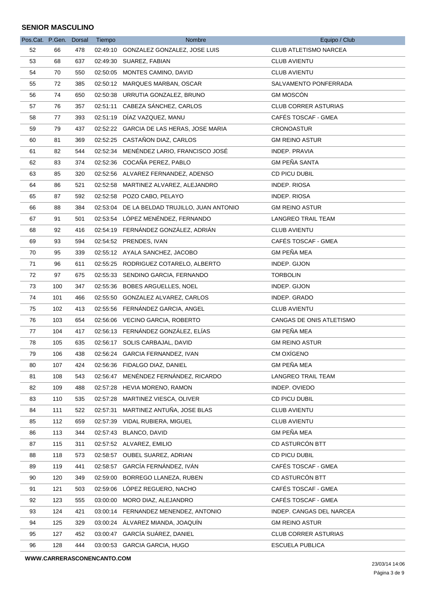| Pos.Cat. P.Gen. Dorsal |     |     | Tiempo   | Nombre                                       | Equipo / Club               |
|------------------------|-----|-----|----------|----------------------------------------------|-----------------------------|
| 52                     | 66  | 478 |          | 02:49:10 GONZALEZ GONZALEZ, JOSE LUIS        | CLUB ATLETISMO NARCEA       |
| 53                     | 68  | 637 |          | 02:49:30 SUAREZ, FABIAN                      | <b>CLUB AVIENTU</b>         |
| 54                     | 70  | 550 |          | 02:50:05 MONTES CAMINO, DAVID                | <b>CLUB AVIENTU</b>         |
| 55                     | 72  | 385 |          | 02:50:12 MARQUES MARBAN, OSCAR               | SALVAMENTO PONFERRADA       |
| 56                     | 74  | 650 |          | 02:50:38 URRUTIA GONZALEZ, BRUNO             | <b>GM MOSCÓN</b>            |
| 57                     | 76  | 357 |          | 02:51:11 CABEZA SÁNCHEZ, CARLOS              | <b>CLUB CORRER ASTURIAS</b> |
| 58                     | 77  | 393 |          | 02:51:19 DÍAZ VAZQUEZ, MANU                  | CAFÉS TOSCAF - GMEA         |
| 59                     | 79  | 437 |          | 02:52:22 GARCIA DE LAS HERAS, JOSE MARIA     | <b>CRONOASTUR</b>           |
| 60                     | 81  | 369 |          | 02:52:25 CASTAÑON DIAZ, CARLOS               | <b>GM REINO ASTUR</b>       |
| 61                     | 82  | 544 |          | 02:52:34 MENÉNDEZ LARIO, FRANCISCO JOSÉ      | INDEP. PRAVIA               |
| 62                     | 83  | 374 |          | 02:52:36 COCAÑA PEREZ, PABLO                 | <b>GM PEÑA SANTA</b>        |
| 63                     | 85  | 320 |          | 02:52:56 ALVAREZ FERNANDEZ, ADENSO           | CD PICU DUBIL               |
| 64                     | 86  | 521 |          | 02:52:58 MARTINEZ ALVAREZ, ALEJANDRO         | INDEP. RIOSA                |
| 65                     | 87  | 592 |          | 02:52:58 POZO CABO, PELAYO                   | <b>INDEP. RIOSA</b>         |
| 66                     | 88  | 384 |          | 02:53:04 DE LA BELDAD TRUJILLO, JUAN ANTONIO | <b>GM REINO ASTUR</b>       |
| 67                     | 91  | 501 |          | 02:53:54 LÓPEZ MENÉNDEZ, FERNANDO            | LANGREO TRAIL TEAM          |
| 68                     | 92  | 416 |          | 02:54:19 FERNÁNDEZ GONZÁLEZ, ADRIÁN          | <b>CLUB AVIENTU</b>         |
| 69                     | 93  | 594 |          | 02:54:52 PRENDES, IVAN                       | CAFÉS TOSCAF - GMEA         |
| 70                     | 95  | 339 |          | 02:55:12 AYALA SANCHEZ, JACOBO               | <b>GM PEÑA MEA</b>          |
| 71                     | 96  | 611 |          | 02:55:25 RODRIGUEZ COTARELO, ALBERTO         | INDEP. GIJON                |
| 72                     | 97  | 675 |          | 02:55:33 SENDINO GARCIA, FERNANDO            | <b>TORBOLIN</b>             |
| 73                     | 100 | 347 |          | 02:55:36 BOBES ARGUELLES, NOEL               | INDEP. GIJON                |
| 74                     | 101 | 466 |          | 02:55:50 GONZALEZ ALVAREZ, CARLOS            | INDEP. GRADO                |
| 75                     | 102 | 413 |          | 02:55:56 FERNÁNDEZ GARCIA, ANGEL             | <b>CLUB AVIENTU</b>         |
| 76                     | 103 | 654 |          | 02:56:06 VECINO GARCIA, ROBERTO              | CANGAS DE ONIS ATLETISMO    |
| 77                     | 104 | 417 |          | 02:56:13 FERNÁNDEZ GONZÁLEZ, ELÍAS           | <b>GM PEÑA MEA</b>          |
| 78                     | 105 | 635 |          | 02:56:17 SOLIS CARBAJAL, DAVID               | <b>GM REINO ASTUR</b>       |
| 79                     | 106 | 438 |          | 02:56:24 GARCIA FERNANDEZ, IVAN              | CM OXÍGENO                  |
| 80                     | 107 | 424 |          | 02:56:36 FIDALGO DIAZ, DANIEL                | <b>GM PEÑA MEA</b>          |
| 81                     | 108 | 543 |          | 02:56:47 MENÉNDEZ FERNÁNDEZ, RICARDO         | LANGREO TRAIL TEAM          |
| 82                     | 109 | 488 |          | 02:57:28 HEVIA MORENO, RAMON                 | INDEP. OVIEDO               |
| 83                     | 110 | 535 | 02:57:28 | MARTINEZ VIESCA, OLIVER                      | CD PICU DUBIL               |
| 84                     | 111 | 522 | 02:57:31 | MARTINEZ ANTUÑA, JOSE BLAS                   | <b>CLUB AVIENTU</b>         |
| 85                     | 112 | 659 |          | 02:57:39 VIDAL RUBIERA, MIGUEL               | <b>CLUB AVIENTU</b>         |
| 86                     | 113 | 344 |          | 02:57:43 BLANCO, DAVID                       | <b>GM PEÑA MEA</b>          |
| 87                     | 115 | 311 |          | 02:57:52 ALVAREZ, EMILIO                     | CD ASTURCÓN BTT             |
| 88                     | 118 | 573 |          | 02:58:57 OUBEL SUAREZ, ADRIAN                | CD PICU DUBIL               |
| 89                     | 119 | 441 |          | 02:58:57 GARCÍA FERNÁNDEZ, IVÁN              | CAFÉS TOSCAF - GMEA         |
| 90                     | 120 | 349 | 02:59:00 | BORREGO LLANEZA, RUBEN                       | CD ASTURCÓN BTT             |
| 91                     | 121 | 503 |          | 02:59:06 LÓPEZ REGUERO, NACHO                | CAFÉS TOSCAF - GMEA         |
| 92                     | 123 | 555 |          | 03:00:00 MORO DIAZ, ALEJANDRO                | CAFÉS TOSCAF - GMEA         |
| 93                     | 124 | 421 |          | 03:00:14 FERNANDEZ MENENDEZ, ANTONIO         | INDEP. CANGAS DEL NARCEA    |
| 94                     | 125 | 329 |          | 03:00:24 ÁLVAREZ MIANDA, JOAQUÍN             | <b>GM REINO ASTUR</b>       |
| 95                     | 127 | 452 |          | 03:00:47 GARCÍA SUÁREZ, DANIEL               | <b>CLUB CORRER ASTURIAS</b> |
| 96                     | 128 | 444 |          | 03:00:53 GARCIA GARCIA, HUGO                 | <b>ESCUELA PUBLICA</b>      |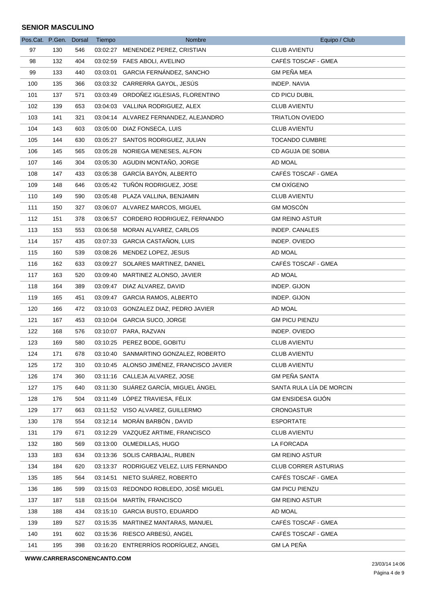| Pos.Cat. P.Gen. Dorsal |     |     | Tiempo   | Nombre                                    | Equipo / Club            |
|------------------------|-----|-----|----------|-------------------------------------------|--------------------------|
| 97                     | 130 | 546 |          | 03:02:27 MENENDEZ PEREZ, CRISTIAN         | <b>CLUB AVIENTU</b>      |
| 98                     | 132 | 404 |          | 03:02:59 FAES ABOLI, AVELINO              | CAFÉS TOSCAF - GMEA      |
| 99                     | 133 | 440 |          | 03:03:01 GARCIA FERNÁNDEZ, SANCHO         | <b>GM PEÑA MEA</b>       |
| 100                    | 135 | 366 |          | 03:03:32 CARRERRA GAYOL, JESÚS            | INDEP. NAVIA             |
| 101                    | 137 | 571 |          | 03:03:49 ORDOÑEZ IGLESIAS, FLORENTINO     | CD PICU DUBIL            |
| 102                    | 139 | 653 |          | 03:04:03 VALLINA RODRIGUEZ, ALEX          | <b>CLUB AVIENTU</b>      |
| 103                    | 141 | 321 |          | 03:04:14 ALVAREZ FERNANDEZ, ALEJANDRO     | <b>TRIATLON OVIEDO</b>   |
| 104                    | 143 | 603 |          | 03:05:00 DIAZ FONSECA, LUIS               | <b>CLUB AVIENTU</b>      |
| 105                    | 144 | 630 |          | 03:05:27 SANTOS RODRIGUEZ, JULIAN         | TOCANDO CUMBRE           |
| 106                    | 145 | 565 |          | 03:05:28 NORIEGA MENESES, ALFON           | CD AGUJA DE SOBIA        |
| 107                    | 146 | 304 |          | 03:05:30 AGUDIN MONTAÑO, JORGE            | AD MOAL                  |
| 108                    | 147 | 433 | 03:05:38 | GARCÍA BAYÓN, ALBERTO                     | CAFÉS TOSCAF - GMEA      |
| 109                    | 148 | 646 |          | 03:05:42 TUÑÓN RODRIGUEZ, JOSE            | CM OXÍGENO               |
| 110                    | 149 | 590 |          | 03:05:48 PLAZA VALLINA, BENJAMIN          | CLUB AVIENTU             |
| 111                    | 150 | 327 |          | 03:06:07 ALVAREZ MARCOS, MIGUEL           | <b>GM MOSCÓN</b>         |
| 112                    | 151 | 378 |          | 03:06:57 CORDERO RODRIGUEZ, FERNANDO      | <b>GM REINO ASTUR</b>    |
| 113                    | 153 | 553 | 03:06:58 | MORAN ALVAREZ, CARLOS                     | INDEP. CANALES           |
| 114                    | 157 | 435 |          | 03:07:33 GARCIA CASTAÑON, LUIS            | INDEP. OVIEDO            |
| 115                    | 160 | 539 |          | 03:08:26 MENDEZ LOPEZ, JESUS              | AD MOAL                  |
| 116                    | 162 | 633 |          | 03:09:27 SOLARES MARTINEZ, DANIEL         | CAFÉS TOSCAF - GMEA      |
| 117                    | 163 | 520 | 03:09:40 | MARTINEZ ALONSO, JAVIER                   | AD MOAL                  |
| 118                    | 164 | 389 |          | 03:09:47 DIAZ ALVAREZ, DAVID              | INDEP. GIJON             |
| 119                    | 165 | 451 |          | 03:09:47 GARCIA RAMOS, ALBERTO            | INDEP. GIJON             |
| 120                    | 166 | 472 |          | 03:10:03 GONZALEZ DIAZ, PEDRO JAVIER      | AD MOAL                  |
| 121                    | 167 | 453 |          | 03:10:04 GARCIA SUCO, JORGE               | <b>GM PICU PIENZU</b>    |
| 122                    | 168 | 576 |          | 03:10:07 PARA, RAZVAN                     | INDEP. OVIEDO            |
| 123                    | 169 | 580 |          | 03:10:25 PEREZ BODE, GOBITU               | <b>CLUB AVIENTU</b>      |
| 124                    | 171 | 678 |          | 03:10:40 SANMARTINO GONZALEZ, ROBERTO     | <b>CLUB AVIENTU</b>      |
| 125                    | 172 | 310 |          | 03:10:45 ALONSO JIMÉNEZ, FRANCISCO JAVIER | <b>CLUB AVIENTU</b>      |
| 126                    | 174 | 360 |          | 03:11:16 CALLEJA ALVAREZ, JOSE            | <b>GM PEÑA SANTA</b>     |
| 127                    | 175 | 640 |          | 03:11:30 SUÁREZ GARCÍA, MIGUEL ÁNGEL      | SANTA RULA LÍA DE MORCIN |
| 128                    | 176 | 504 |          | 03:11:49 LÓPEZ TRAVIESA, FÉLIX            | <b>GM ENSIDESA GIJÓN</b> |
| 129                    | 177 | 663 |          | 03:11:52 VISO ALVAREZ, GUILLERMO          | <b>CRONOASTUR</b>        |
| 130                    | 178 | 554 |          | 03:12:14 MORÁN BARBÓN, DAVID              | <b>ESPORTATE</b>         |
| 131                    | 179 | 671 |          | 03:12:29 VAZQUEZ ARTIME, FRANCISCO        | <b>CLUB AVIENTU</b>      |
| 132                    | 180 | 569 |          | 03:13:00 OLMEDILLAS, HUGO                 | LA FORCADA               |
| 133                    | 183 | 634 |          | 03:13:36 SOLIS CARBAJAL, RUBEN            | <b>GM REINO ASTUR</b>    |
| 134                    | 184 | 620 |          | 03:13:37 RODRIGUEZ VELEZ, LUIS FERNANDO   | CLUB CORRER ASTURIAS     |
| 135                    | 185 | 564 | 03:14:51 | NIETO SUÁREZ, ROBERTO                     | CAFÉS TOSCAF - GMEA      |
| 136                    | 186 | 599 |          | 03:15:03 REDONDO ROBLEDO, JOSÈ MIGUEL     | <b>GM PICU PIENZU</b>    |
| 137                    | 187 | 518 | 03:15:04 | MARTÍN, FRANCISCO                         | <b>GM REINO ASTUR</b>    |
| 138                    | 188 | 434 | 03:15:10 | <b>GARCIA BUSTO, EDUARDO</b>              | AD MOAL                  |
| 139                    | 189 | 527 |          | 03:15:35 MARTINEZ MANTARAS, MANUEL        | CAFÉS TOSCAF - GMEA      |
| 140                    | 191 | 602 |          | 03:15:36 RIESCO ARBESÚ, ANGEL             | CAFÉS TOSCAF - GMEA      |
| 141                    | 195 | 398 |          | 03:16:20 ENTRERRÍOS RODRÍGUEZ, ANGEL      | <b>GM LA PEÑA</b>        |
|                        |     |     |          |                                           |                          |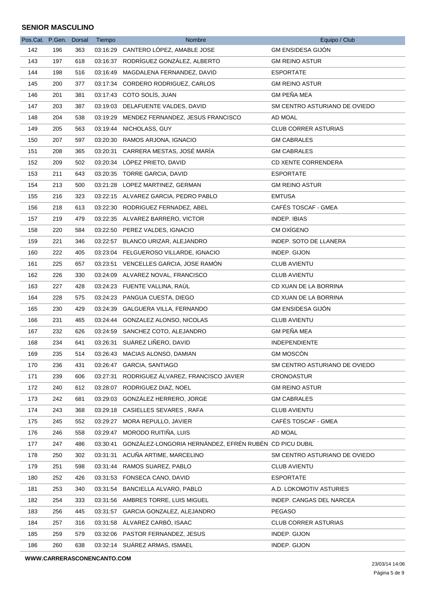| Pos.Cat. P.Gen. |     | <b>Dorsal</b> | Tiempo   | Nombre                                                 | Equipo / Club                 |
|-----------------|-----|---------------|----------|--------------------------------------------------------|-------------------------------|
| 142             | 196 | 363           |          | 03:16:29 CANTERO LÓPEZ, AMABLE JOSE                    | <b>GM ENSIDESA GIJÓN</b>      |
| 143             | 197 | 618           |          | 03:16:37 RODRÍGUEZ GONZÁLEZ, ALBERTO                   | <b>GM REINO ASTUR</b>         |
| 144             | 198 | 516           | 03:16:49 | MAGDALENA FERNANDEZ, DAVID                             | <b>ESPORTATE</b>              |
| 145             | 200 | 377           |          | 03:17:34 CORDERO RODRIGUEZ, CARLOS                     | <b>GM REINO ASTUR</b>         |
| 146             | 201 | 381           |          | 03:17:43 COTO SOLÍS, JUAN                              | <b>GM PEÑA MEA</b>            |
| 147             | 203 | 387           |          | 03:19:03 DELAFUENTE VALDES, DAVID                      | SM CENTRO ASTURIANO DE OVIEDO |
| 148             | 204 | 538           | 03:19:29 | MENDEZ FERNANDEZ, JESUS FRANCISCO                      | AD MOAL                       |
| 149             | 205 | 563           |          | 03:19:44 NICHOLASS, GUY                                | <b>CLUB CORRER ASTURIAS</b>   |
| 150             | 207 | 597           |          | 03:20:30 RAMOS ARJONA, IGNACIO                         | <b>GM CABRALES</b>            |
| 151             | 208 | 365           |          | 03:20:31 CARRERA MESTAS, JOSÉ MARÍA                    | <b>GM CABRALES</b>            |
| 152             | 209 | 502           |          | 03:20:34 LÓPEZ PRIETO, DAVID                           | <b>CD XENTE CORRENDERA</b>    |
| 153             | 211 | 643           |          | 03:20:35 TORRE GARCIA, DAVID                           | <b>ESPORTATE</b>              |
| 154             | 213 | 500           |          | 03:21:28 LOPEZ MARTINEZ, GERMAN                        | <b>GM REINO ASTUR</b>         |
| 155             | 216 | 323           |          | 03:22:15 ALVAREZ GARCIA, PEDRO PABLO                   | <b>EMTUSA</b>                 |
| 156             | 218 | 613           |          | 03:22:30 RODRIGUEZ FERNADEZ, ABEL                      | CAFÉS TOSCAF - GMEA           |
| 157             | 219 | 479           |          | 03:22:35 ALVAREZ BARRERO, VICTOR                       | INDEP. IBIAS                  |
| 158             | 220 | 584           |          | 03:22:50 PEREZ VALDES, IGNACIO                         | CM OXÍGENO                    |
| 159             | 221 | 346           |          | 03:22:57 BLANCO URIZAR, ALEJANDRO                      | <b>INDEP. SOTO DE LLANERA</b> |
| 160             | 222 | 405           |          | 03:23:04 FELGUEROSO VILLARDE, IGNACIO                  | INDEP. GIJON                  |
| 161             | 225 | 657           |          | 03:23:51 VENCELLES GARCIA, JOSE RAMON                  | <b>CLUB AVIENTU</b>           |
| 162             | 226 | 330           |          | 03:24:09 ALVAREZ NOVAL, FRANCISCO                      | <b>CLUB AVIENTU</b>           |
| 163             | 227 | 428           |          | 03:24:23 FUENTE VALLINA, RAUL                          | CD XUAN DE LA BORRINA         |
| 164             | 228 | 575           |          | 03:24:23 PANGUA CUESTA, DIEGO                          | CD XUAN DE LA BORRINA         |
| 165             | 230 | 429           |          | 03:24:39 GALGUERA VILLA, FERNANDO                      | <b>GM ENSIDESA GIJÓN</b>      |
| 166             | 231 | 465           |          | 03:24:44 GONZALEZ ALONSO, NICOLAS                      | <b>CLUB AVIENTU</b>           |
| 167             | 232 | 626           |          | 03:24:59 SANCHEZ COTO, ALEJANDRO                       | <b>GM PEÑA MEA</b>            |
| 168             | 234 | 641           |          | 03:26:31 SUÁREZ LIÑERO, DAVID                          | <b>INDEPENDIENTE</b>          |
| 169             | 235 | 514           |          | 03:26:43 MACIAS ALONSO, DAMIAN                         | <b>GM MOSCÓN</b>              |
| 170             | 236 | 431           |          | 03:26:47 GARCIA, SANTIAGO                              | SM CENTRO ASTURIANO DE OVIEDO |
| 171             | 239 | 606           |          | 03:27:31 RODRIGUEZ ÁLVAREZ, FRANCISCO JAVIER           | <b>CRONOASTUR</b>             |
| 172             | 240 | 612           |          | 03:28:07 RODRIGUEZ DIAZ, NOEL                          | <b>GM REINO ASTUR</b>         |
| 173             | 242 | 681           |          | 03:29:03 GONZÁLEZ HERRERO, JORGE                       | <b>GM CABRALES</b>            |
| 174             | 243 | 368           |          | 03:29:18 CASIELLES SEVARES, RAFA                       | <b>CLUB AVIENTU</b>           |
| 175             | 245 | 552           |          | 03:29:27 MORA REPULLO, JAVIER                          | CAFÉS TOSCAF - GMEA           |
| 176             | 246 | 558           | 03:29:47 | MORODO RUITIÑA, LUIS                                   | AD MOAL                       |
| 177             | 247 | 486           | 03:30:41 | GONZÁLEZ-LONGORIA HERNÁNDEZ, EFRÉN RUBÉN CD PICU DUBIL |                               |
| 178             | 250 | 302           |          | 03:31:31 ACUÑA ARTIME, MARCELINO                       | SM CENTRO ASTURIANO DE OVIEDO |
| 179             | 251 | 598           |          | 03:31:44 RAMOS SUAREZ, PABLO                           | <b>CLUB AVIENTU</b>           |
| 180             | 252 | 426           |          | 03:31:53 FONSECA CANO, DAVID                           | <b>ESPORTATE</b>              |
| 181             | 253 | 340           | 03:31:54 | <b>BANCIELLA ALVARO, PABLO</b>                         | A.D. LOKOMOTIV ASTURIES       |
| 182             | 254 | 333           |          | 03:31:56 AMBRES TORRE, LUIS MIGUEL                     | INDEP. CANGAS DEL NARCEA      |
| 183             | 256 | 445           |          | 03:31:57 GARCIA GONZALEZ, ALEJANDRO                    | <b>PEGASO</b>                 |
| 184             | 257 | 316           |          | 03:31:58 ÁLVAREZ CARBÓ, ISAAC                          | <b>CLUB CORRER ASTURIAS</b>   |
| 185             | 259 | 579           |          | 03:32:06 PASTOR FERNANDEZ, JESUS                       | INDEP. GIJON                  |
| 186             | 260 | 638           |          | 03:32:14 SUÁREZ ARMAS, ISMAEL                          | INDEP. GIJON                  |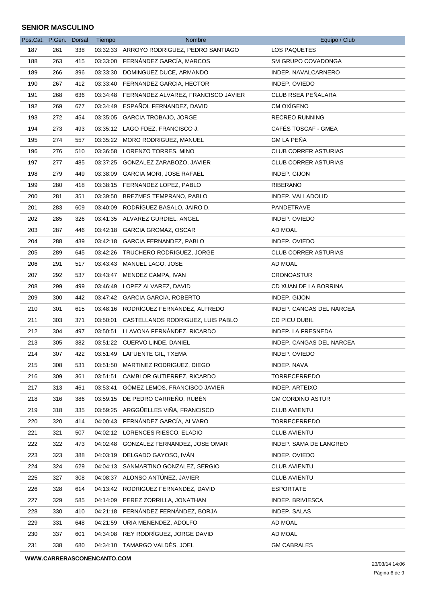| Pos.Cat. P.Gen. Dorsal |     |     | Tiempo   | Nombre                                       | Equipo / Club               |
|------------------------|-----|-----|----------|----------------------------------------------|-----------------------------|
| 187                    | 261 | 338 |          | 03:32:33 ARROYO RODRIGUEZ, PEDRO SANTIAGO    | LOS PAQUETES                |
| 188                    | 263 | 415 |          | 03:33:00 FERNÁNDEZ GARCÍA, MARCOS            | <b>SM GRUPO COVADONGA</b>   |
| 189                    | 266 | 396 |          | 03:33:30 DOMINGUEZ DUCE, ARMANDO             | INDEP. NAVALCARNERO         |
| 190                    | 267 | 412 |          | 03:33:40 FERNANDEZ GARCIA, HECTOR            | INDEP. OVIEDO               |
| 191                    | 268 | 636 |          | 03:34:48 FERNANDEZ ALVAREZ, FRANCISCO JAVIER | CLUB RSEA PEÑALARA          |
| 192                    | 269 | 677 |          | 03:34:49 ESPAÑOL FERNANDEZ, DAVID            | CM OXÍGENO                  |
| 193                    | 272 | 454 |          | 03:35:05 GARCIA TROBAJO, JORGE               | <b>RECREO RUNNING</b>       |
| 194                    | 273 | 493 |          | 03:35:12 LAGO FDEZ, FRANCISCO J.             | CAFÉS TOSCAF - GMEA         |
| 195                    | 274 | 557 |          | 03:35:22 MORO RODRIGUEZ, MANUEL              | <b>GM LA PEÑA</b>           |
| 196                    | 276 | 510 |          | 03:36:58 LORENZO TORRES, MINO                | <b>CLUB CORRER ASTURIAS</b> |
| 197                    | 277 | 485 | 03:37:25 | GONZALEZ ZARABOZO, JAVIER                    | <b>CLUB CORRER ASTURIAS</b> |
| 198                    | 279 | 449 |          | 03:38:09 GARCIA MORI, JOSE RAFAEL            | INDEP. GIJON                |
| 199                    | 280 | 418 |          | 03:38:15 FERNANDEZ LOPEZ, PABLO              | RIBERANO                    |
| 200                    | 281 | 351 |          | 03:39:50 BREZMES TEMPRANO, PABLO             | INDEP. VALLADOLID           |
| 201                    | 283 | 609 |          | 03:40:09 RODRÍGUEZ BASALO, JAIRO D.          | <b>PANDETRAVE</b>           |
| 202                    | 285 | 326 |          | 03:41:35 ALVAREZ GURDIEL, ANGEL              | INDEP. OVIEDO               |
| 203                    | 287 | 446 |          | 03:42:18 GARCIA GROMAZ, OSCAR                | AD MOAL                     |
| 204                    | 288 | 439 |          | 03:42:18 GARCIA FERNANDEZ, PABLO             | INDEP. OVIEDO               |
| 205                    | 289 | 645 |          | 03:42:26 TRUCHERO RODRIGUEZ, JORGE           | <b>CLUB CORRER ASTURIAS</b> |
| 206                    | 291 | 517 | 03:43:43 | MANUEL LAGO, JOSE                            | AD MOAL                     |
| 207                    | 292 | 537 |          | 03:43:47 MENDEZ CAMPA, IVAN                  | <b>CRONOASTUR</b>           |
| 208                    | 299 | 499 |          | 03:46:49 LOPEZ ALVAREZ, DAVID                | CD XUAN DE LA BORRINA       |
| 209                    | 300 | 442 |          | 03:47:42 GARCIA GARCIA, ROBERTO              | INDEP. GIJON                |
| 210                    | 301 | 615 |          | 03:48:16 RODRÍGUEZ FERNÁNDEZ, ALFREDO        | INDEP. CANGAS DEL NARCEA    |
| 211                    | 303 | 371 |          | 03:50:01 CASTELLANOS RODRIGUEZ, LUIS PABLO   | CD PICU DUBIL               |
| 212                    | 304 | 497 |          | 03:50:51 LLAVONA FERNÁNDEZ, RICARDO          | INDEP. LA FRESNEDA          |
| 213                    | 305 | 382 |          | 03:51:22 CUERVO LINDE, DANIEL                | INDEP. CANGAS DEL NARCEA    |
| 214                    | 307 | 422 |          | 03:51:49 LAFUENTE GIL, TXEMA                 | INDEP. OVIEDO               |
| 215                    | 308 | 531 |          | 03:51:50 MARTINEZ RODRIGUEZ, DIEGO           | INDEP. NAVA                 |
| 216                    | 309 | 361 |          | 03:51:51 CAMBLOR GUTIERREZ, RICARDO          | <b>TORRECERREDO</b>         |
| 217                    | 313 | 461 | 03:53:41 | GOMEZ LEMOS, FRANCISCO JAVIER                | INDEP. ARTEIXO              |
| 218                    | 316 | 386 |          | 03:59:15 DE PEDRO CARREÑO, RUBÉN             | <b>GM CORDINO ASTUR</b>     |
| 219                    | 318 | 335 |          | 03:59:25 ARGGÜELLES VIÑA, FRANCISCO          | <b>CLUB AVIENTU</b>         |
| 220                    | 320 | 414 |          | 04:00:43 FERNÁNDEZ GARCÍA, ALVARO            | <b>TORRECERREDO</b>         |
| 221                    | 321 | 507 |          | 04:02:12 LORENCES RIESCO, ELADIO             | <b>CLUB AVIENTU</b>         |
| 222                    | 322 | 473 |          | 04:02:48 GONZALEZ FERNANDEZ, JOSE OMAR       | INDEP. SAMA DE LANGREO      |
| 223                    | 323 | 388 |          | 04:03:19 DELGADO GAYOSO, IVÁN                | INDEP. OVIEDO               |
| 224                    | 324 | 629 |          | 04:04:13 SANMARTINO GONZALEZ, SERGIO         | <b>CLUB AVIENTU</b>         |
| 225                    | 327 | 308 |          | 04:08:37 ALONSO ANTÚNEZ, JAVIER              | <b>CLUB AVIENTU</b>         |
| 226                    | 328 | 614 |          | 04:13:42 RODRIGUEZ FERNANDEZ, DAVID          | <b>ESPORTATE</b>            |
| 227                    | 329 | 585 |          | 04:14:09 PEREZ ZORRILLA, JONATHAN            | INDEP. BRIVIESCA            |
| 228                    | 330 | 410 |          | 04:21:18 FERNÁNDEZ FERNÁNDEZ, BORJA          | INDEP. SALAS                |
| 229                    | 331 | 648 |          | 04:21:59 URIA MENENDEZ, ADOLFO               | AD MOAL                     |
| 230                    | 337 | 601 |          | 04:34:08 REY RODRÍGUEZ, JORGE DAVID          | AD MOAL                     |
| 231                    | 338 | 680 |          | 04:34:10 TAMARGO VALDÉS, JOEL                | <b>GM CABRALES</b>          |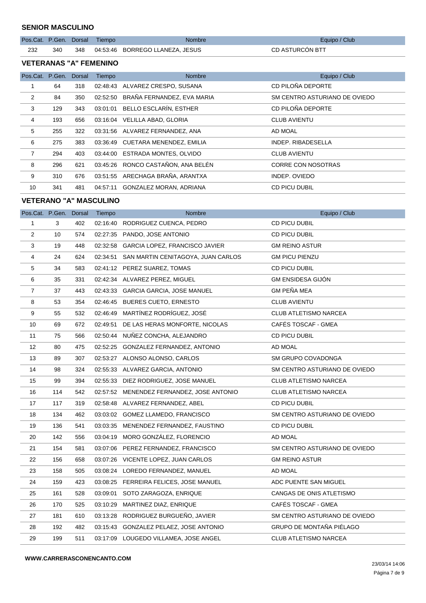|     |  | Pos.Cat. P.Gen. Dorsal Tiempo | <b>Nombre</b>                           | Equipo / Club   |
|-----|--|-------------------------------|-----------------------------------------|-----------------|
| 232 |  |                               | 340 348 04:53:46 BORREGO LLANEZA, JESUS | CD ASTURCÓN BTT |

#### **VETERANAS "A" FEMENINO**

| Pos.Cat. P.Gen. |     | Dorsal | Tiempo   | <b>Nombre</b>                      | Equipo / Club                 |
|-----------------|-----|--------|----------|------------------------------------|-------------------------------|
| 1               | 64  | 318    | 02:48:43 | ALVAREZ CRESPO, SUSANA             | CD PILOÑA DEPORTE             |
| 2               | 84  | 350    | 02:52:50 | BRAÑA FERNANDEZ, EVA MARIA         | SM CENTRO ASTURIANO DE OVIEDO |
| 3               | 129 | 343    | 03:01:01 | BELLO ESCLARÍN. ESTHER             | CD PILOÑA DEPORTE             |
| 4               | 193 | 656    | 03:16:04 | VELILLA ABAD, GLORIA               | <b>CLUB AVIENTU</b>           |
| 5               | 255 | 322    |          | 03:31:56 ALVAREZ FERNANDEZ, ANA    | AD MOAL                       |
| 6               | 275 | 383    |          | 03:36:49 CUETARA MENENDEZ, EMILIA  | <b>INDEP, RIBADESELLA</b>     |
| $\overline{7}$  | 294 | 403    |          | 03:44:00 ESTRADA MONTES, OLVIDO    | <b>CLUB AVIENTU</b>           |
| 8               | 296 | 621    |          | 03:45:26 RONCO CASTAÑON, ANA BELÉN | CORRE CON NOSOTRAS            |
| 9               | 310 | 676    |          | 03:51:55 ARECHAGA BRAÑA, ARANTXA   | INDEP. OVIEDO                 |
| 10              | 341 | 481    | 04:57:11 | GONZALEZ MORAN, ADRIANA            | CD PICU DUBIL                 |

# **VETERANO "A" MASCULINO**

| Pos.Cat. P.Gen. Dorsal |     |     | Tiempo   | Nombre                                      | Equipo / Club                 |
|------------------------|-----|-----|----------|---------------------------------------------|-------------------------------|
| $\mathbf{1}$           | 3   | 402 |          | 02:16:40 RODRIGUEZ CUENCA, PEDRO            | CD PICU DUBIL                 |
| $\overline{2}$         | 10  | 574 |          | 02:27:35 PANDO, JOSE ANTONIO                | <b>CD PICU DUBIL</b>          |
| 3                      | 19  | 448 |          | 02:32:58 GARCIA LOPEZ, FRANCISCO JAVIER     | <b>GM REINO ASTUR</b>         |
| 4                      | 24  | 624 |          | 02:34:51 SAN MARTIN CENITAGOYA, JUAN CARLOS | <b>GM PICU PIENZU</b>         |
| 5                      | 34  | 583 |          | 02:41:12 PEREZ SUAREZ, TOMAS                | CD PICU DUBIL                 |
| 6                      | 35  | 331 |          | 02:42:34 ALVAREZ PEREZ, MIGUEL              | <b>GM ENSIDESA GIJÓN</b>      |
| $\overline{7}$         | 37  | 443 |          | 02:43:33 GARCIA GARCIA, JOSE MANUEL         | <b>GM PEÑA MEA</b>            |
| 8                      | 53  | 354 |          | 02:46:45 BUERES CUETO, ERNESTO              | <b>CLUB AVIENTU</b>           |
| 9                      | 55  | 532 |          | 02:46:49 MARTÍNEZ RODRÍGUEZ, JOSÉ           | <b>CLUB ATLETISMO NARCEA</b>  |
| 10                     | 69  | 672 |          | 02:49:51 DE LAS HERAS MONFORTE, NICOLAS     | CAFÉS TOSCAF - GMEA           |
| 11                     | 75  | 566 |          | 02:50:44 NUÑEZ CONCHA, ALEJANDRO            | CD PICU DUBIL                 |
| 12                     | 80  | 475 |          | 02:52:25 GONZALEZ FERNANDEZ, ANTONIO        | AD MOAL                       |
| 13                     | 89  | 307 |          | 02:53:27 ALONSO ALONSO, CARLOS              | SM GRUPO COVADONGA            |
| 14                     | 98  | 324 |          | 02:55:33 ALVAREZ GARCIA, ANTONIO            | SM CENTRO ASTURIANO DE OVIEDO |
| 15                     | 99  | 394 |          | 02:55:33 DIEZ RODRIGUEZ, JOSE MANUEL        | <b>CLUB ATLETISMO NARCEA</b>  |
| 16                     | 114 | 542 |          | 02:57:52 MENENDEZ FERNANDEZ, JOSE ANTONIO   | CLUB ATLETISMO NARCEA         |
| 17                     | 117 | 319 |          | 02:58:48 ALVAREZ FERNANDEZ, ABEL            | CD PICU DUBIL                 |
| 18                     | 134 | 462 |          | 03:03:02 GOMEZ LLAMEDO, FRANCISCO           | SM CENTRO ASTURIANO DE OVIEDO |
| 19                     | 136 | 541 |          | 03:03:35 MENENDEZ FERNANDEZ, FAUSTINO       | <b>CD PICU DUBIL</b>          |
| 20                     | 142 | 556 |          | 03:04:19 MORO GONZÁLEZ, FLORENCIO           | AD MOAL                       |
| 21                     | 154 | 581 |          | 03:07:06 PEREZ FERNANDEZ, FRANCISCO         | SM CENTRO ASTURIANO DE OVIEDO |
| 22                     | 156 | 658 |          | 03:07:26 VICENTE LOPEZ, JUAN CARLOS         | <b>GM REINO ASTUR</b>         |
| 23                     | 158 | 505 |          | 03:08:24 LOREDO FERNANDEZ, MANUEL           | AD MOAL                       |
| 24                     | 159 | 423 |          | 03:08:25 FERREIRA FELICES, JOSE MANUEL      | ADC PUENTE SAN MIGUEL         |
| 25                     | 161 | 528 |          | 03:09:01 SOTO ZARAGOZA, ENRIQUE             | CANGAS DE ONIS ATLETISMO      |
| 26                     | 170 | 525 | 03:10:29 | MARTINEZ DIAZ, ENRIQUE                      | CAFÉS TOSCAF - GMEA           |
| 27                     | 181 | 610 |          | 03:13:28 RODRIGUEZ BURGUEÑO, JAVIER         | SM CENTRO ASTURIANO DE OVIEDO |
| 28                     | 192 | 482 |          | 03:15:43 GONZALEZ PELAEZ, JOSE ANTONIO      | GRUPO DE MONTAÑA PIÉLAGO      |
| 29                     | 199 | 511 |          | 03:17:09 LOUGEDO VILLAMEA, JOSE ANGEL       | <b>CLUB ATLETISMO NARCEA</b>  |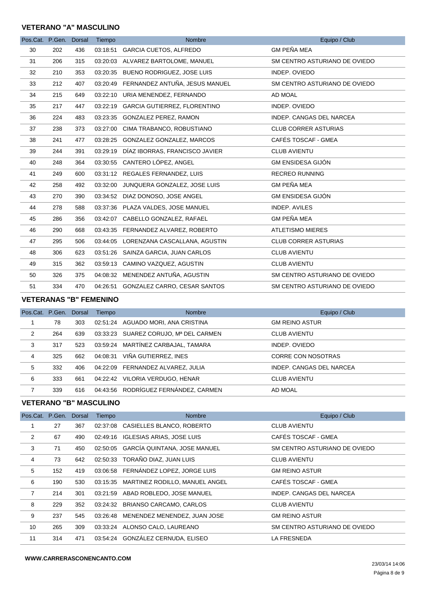# **VETERANO "A" MASCULINO**

| Pos.Cat. P.Gen. Dorsal |     |     | Tiempo   | <b>Nombre</b>                           | Equipo / Club                 |
|------------------------|-----|-----|----------|-----------------------------------------|-------------------------------|
| 30                     | 202 | 436 | 03:18:51 | <b>GARCIA CUETOS, ALFREDO</b>           | <b>GM PEÑA MEA</b>            |
| 31                     | 206 | 315 |          | 03:20:03 ALVAREZ BARTOLOME, MANUEL      | SM CENTRO ASTURIANO DE OVIEDO |
| 32                     | 210 | 353 |          | 03:20:35 BUENO RODRIGUEZ, JOSE LUIS     | INDEP. OVIEDO                 |
| 33                     | 212 | 407 |          | 03:20:49 FERNANDEZ ANTUÑA, JESUS MANUEL | SM CENTRO ASTURIANO DE OVIEDO |
| 34                     | 215 | 649 |          | 03:22:10 URIA MENENDEZ, FERNANDO        | AD MOAL                       |
| 35                     | 217 | 447 |          | 03:22:19 GARCIA GUTIERREZ, FLORENTINO   | INDEP. OVIEDO                 |
| 36                     | 224 | 483 |          | 03:23:35 GONZALEZ PEREZ, RAMON          | INDEP. CANGAS DEL NARCEA      |
| 37                     | 238 | 373 | 03:27:00 | CIMA TRABANCO, ROBUSTIANO               | <b>CLUB CORRER ASTURIAS</b>   |
| 38                     | 241 | 477 |          | 03:28:25 GONZALEZ GONZALEZ, MARCOS      | CAFÉS TOSCAF - GMEA           |
| 39                     | 244 | 391 | 03:29:19 | DÍAZ IBORRAS, FRANCISCO JAVIER          | <b>CLUB AVIENTU</b>           |
| 40                     | 248 | 364 |          | 03:30:55 CANTERO LÓPEZ, ANGEL           | <b>GM ENSIDESA GIJÓN</b>      |
| 41                     | 249 | 600 |          | 03:31:12 REGALES FERNANDEZ, LUIS        | <b>RECREO RUNNING</b>         |
| 42                     | 258 | 492 |          | 03:32:00 JUNQUERA GONZALEZ, JOSE LUIS   | <b>GM PEÑA MEA</b>            |
| 43                     | 270 | 390 |          | 03:34:52 DIAZ DONOSO, JOSE ANGEL        | <b>GM ENSIDESA GIJÓN</b>      |
| 44                     | 278 | 588 |          | 03:37:36 PLAZA VALDES, JOSE MANUEL      | <b>INDEP. AVILES</b>          |
| 45                     | 286 | 356 |          | 03:42:07 CABELLO GONZALEZ, RAFAEL       | <b>GM PEÑA MEA</b>            |
| 46                     | 290 | 668 |          | 03:43:35 FERNANDEZ ALVAREZ, ROBERTO     | <b>ATLETISMO MIERES</b>       |
| 47                     | 295 | 506 |          | 03:44:05 LORENZANA CASCALLANA, AGUSTIN  | <b>CLUB CORRER ASTURIAS</b>   |
| 48                     | 306 | 623 |          | 03:51:26 SAINZA GARCIA, JUAN CARLOS     | <b>CLUB AVIENTU</b>           |
| 49                     | 315 | 362 |          | 03:59:13 CAMINO VAZQUEZ, AGUSTIN        | <b>CLUB AVIENTU</b>           |
| 50                     | 326 | 375 |          | 04:08:32 MENENDEZ ANTUÑA, AGUSTIN       | SM CENTRO ASTURIANO DE OVIEDO |
| 51                     | 334 | 470 |          | 04:26:51 GONZALEZ CARRO, CESAR SANTOS   | SM CENTRO ASTURIANO DE OVIEDO |

#### **VETERANAS "B" FEMENINO**

| Pos.Cat. P.Gen. Dorsal |     |     | Tiempo   | <b>Nombre</b>                         | Equipo / Club            |
|------------------------|-----|-----|----------|---------------------------------------|--------------------------|
|                        | 78  | 303 |          | 02:51:24 AGUADO MORI, ANA CRISTINA    | <b>GM REINO ASTUR</b>    |
| 2                      | 264 | 639 |          | 03:33:23 SUAREZ CORUJO, Mª DEL CARMEN | <b>CLUB AVIENTU</b>      |
| 3                      | 317 | 523 |          | 03:59:24 MARTÍNEZ CARBAJAL, TAMARA    | INDEP. OVIEDO            |
| 4                      | 325 | 662 | 04:08:31 | VIÑA GUTIERREZ, INES                  | CORRE CON NOSOTRAS       |
| 5                      | 332 | 406 |          | 04:22:09 FERNANDEZ ALVAREZ, JULIA     | INDEP. CANGAS DEL NARCEA |
| 6                      | 333 | 661 | 04:22:42 | VILORIA VERDUGO, HENAR                | <b>CLUB AVIENTU</b>      |
| 7                      | 339 | 616 |          | 04:43:56 RODRÍGUEZ FERNÁNDEZ, CARMEN  | AD MOAL                  |

### **VETERANO "B" MASCULINO**

| Pos.Cat. P.Gen. |     | Dorsal | Tiempo   | <b>Nombre</b>                     | Equipo / Club                 |
|-----------------|-----|--------|----------|-----------------------------------|-------------------------------|
|                 | 27  | 367    | 02:37:08 | CASIELLES BLANCO, ROBERTO         | <b>CLUB AVIENTU</b>           |
| 2               | 67  | 490    | 02:49:16 | <b>IGLESIAS ARIAS, JOSE LUIS</b>  | CAFÉS TOSCAF - GMEA           |
| 3               | 71  | 450    | 02:50:05 | GARCÍA QUINTANA, JOSE MANUEL      | SM CENTRO ASTURIANO DE OVIEDO |
| 4               | 73  | 642    | 02:50:33 | TORAÑO DIAZ, JUAN LUIS            | <b>CLUB AVIENTU</b>           |
| 5               | 152 | 419    | 03:06:58 | FERNÁNDEZ LOPEZ, JORGE LUIS       | <b>GM REINO ASTUR</b>         |
| 6               | 190 | 530    | 03:15:35 | MARTINEZ RODILLO, MANUEL ANGEL    | CAFÉS TOSCAF - GMEA           |
| 7               | 214 | 301    | 03:21:59 | ABAD ROBLEDO, JOSE MANUEL         | INDEP. CANGAS DEL NARCEA      |
| 8               | 229 | 352    | 03:24:32 | BRIANSO CARCAMO, CARLOS           | <b>CLUB AVIENTU</b>           |
| 9               | 237 | 545    | 03:26:48 | MENENDEZ MENENDEZ, JUAN JOSE      | <b>GM REINO ASTUR</b>         |
| 10              | 265 | 309    | 03:33:24 | ALONSO CALO, LAUREANO             | SM CENTRO ASTURIANO DE OVIEDO |
| 11              | 314 | 471    |          | 03:54:24 GONZÁLEZ CERNUDA, ELISEO | LA FRESNEDA                   |